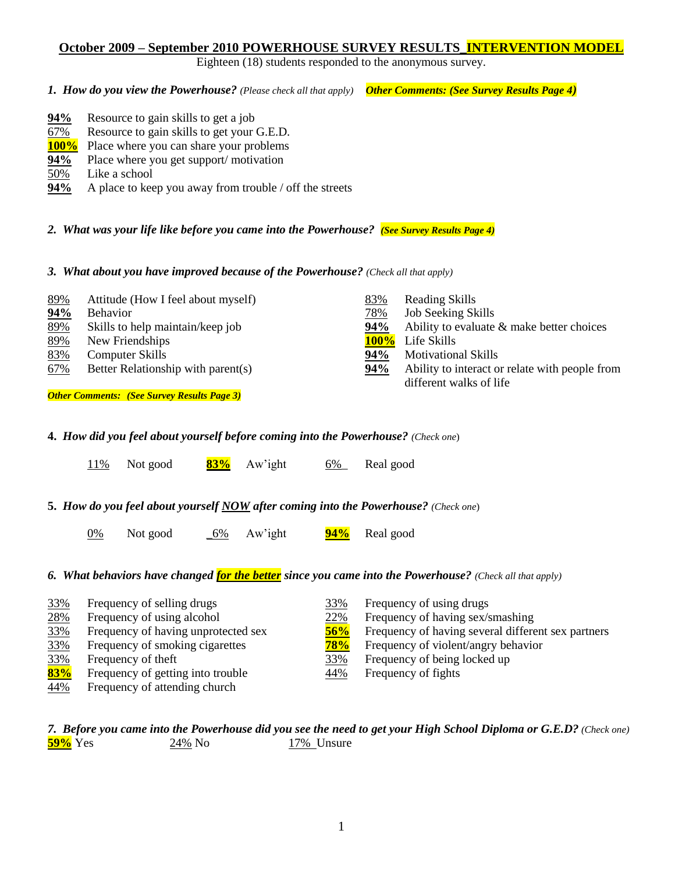# **October 2009 – September 2010 POWERHOUSE SURVEY RESULTS\_INTERVENTION MODEL**

Eighteen (18) students responded to the anonymous survey.

*1. How do you view the Powerhouse? (Please check all that apply) Other Comments: (See Survey Results Page 4)*

| 94%         | Resource to gain skills to get a job                    |
|-------------|---------------------------------------------------------|
| 67%         | Resource to gain skills to get your G.E.D.              |
| <b>100%</b> | Place where you can share your problems                 |
| 94%         | Place where you get support/motivation                  |
| 50%         | Like a school                                           |
| 94%         | A place to keep you away from trouble / off the streets |

*2. What was your life like before you came into the Powerhouse? (See Survey Results Page 4)*

*3. What about you have improved because of the Powerhouse? (Check all that apply)*

| 89% | Attitude (How I feel about myself) | 83%     | <b>Reading Skills</b>                          |
|-----|------------------------------------|---------|------------------------------------------------|
| 94% | <b>Behavior</b>                    | 78%     | <b>Job Seeking Skills</b>                      |
| 89% | Skills to help maintain/keep job   | 94%     | Ability to evaluate $\&$ make better choices   |
| 89% | New Friendships                    | $100\%$ | Life Skills                                    |
| 83% | Computer Skills                    | 94%     | <b>Motivational Skills</b>                     |
| 67% | Better Relationship with parent(s) | 94%     | Ability to interact or relate with people from |
|     |                                    |         |                                                |

*Other Comments: (See Survey Results Page 3)*

| 94% | Ability to evaluate & make better choices      |
|-----|------------------------------------------------|
|     | <b>100%</b> Life Skills                        |
| 94% | <b>Motivational Skills</b>                     |
| 94% | Ability to interact or relate with people from |
|     | different walks of life                        |
|     |                                                |

**4.** *How did you feel about yourself before coming into the Powerhouse? (Check one*)

| <u>11%</u> | Not good |  | 83% Aw'ight | $6\%$ | Real good |
|------------|----------|--|-------------|-------|-----------|
|------------|----------|--|-------------|-------|-----------|

**5.** *How do you feel about yourself NOW after coming into the Powerhouse? (Check one*)

0% Not good \_6% Aw'ight **94%** Real good

*6. What behaviors have changed for the better since you came into the Powerhouse? (Check all that apply)*

| 33% | Frequency of selling drugs          | 33% | Frequency of using drugs                           |
|-----|-------------------------------------|-----|----------------------------------------------------|
| 28% | Frequency of using alcohol          | 22% | Frequency of having sex/smashing                   |
| 33% | Frequency of having unprotected sex | 56% | Frequency of having several different sex partners |
| 33% | Frequency of smoking cigarettes     | 78% | Frequency of violent/angry behavior                |
| 33% | Frequency of theft                  | 33% | Frequency of being locked up                       |
| 83% | Frequency of getting into trouble   | 44% | Frequency of fights                                |
| 44% | Frequency of attending church       |     |                                                    |

#### *7. Before you came into the Powerhouse did you see the need to get your High School Diploma or G.E.D? (Check one)* **59%** Yes 24% No 17% Unsure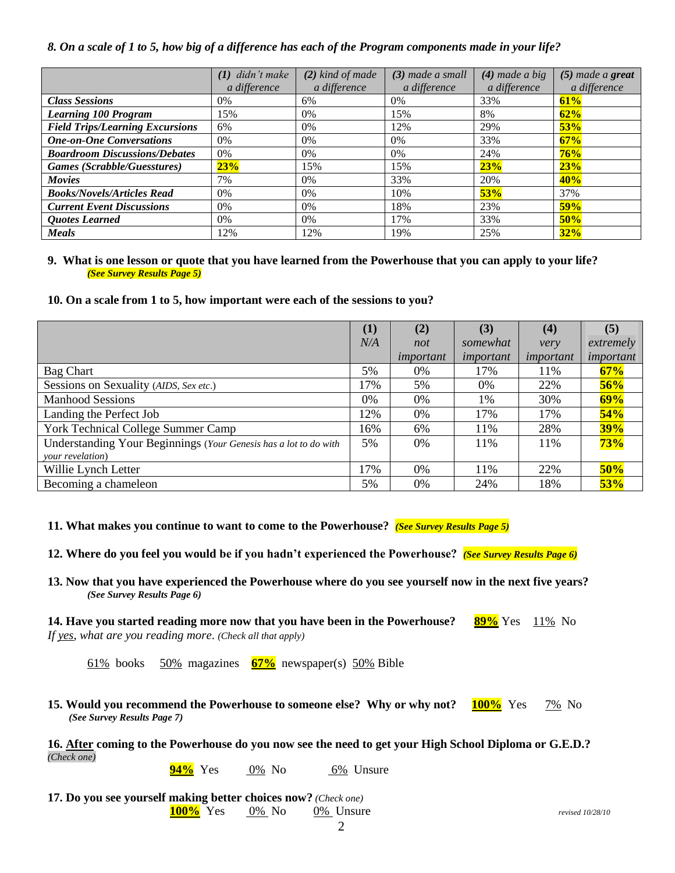#### *8. On a scale of 1 to 5, how big of a difference has each of the Program components made in your life?*

|                                        | $(1)$ didn't make | $(2)$ kind of made | $(3)$ made a small | $(4)$ made a big | $(5)$ made a great |
|----------------------------------------|-------------------|--------------------|--------------------|------------------|--------------------|
|                                        | a difference      | a difference       | a difference       | a difference     | a difference       |
| <b>Class Sessions</b>                  | 0%                | 6%                 | 0%                 | 33%              | 61%                |
| <b>Learning 100 Program</b>            | 15%               | $0\%$              | 15%                | 8%               | 62%                |
| <b>Field Trips/Learning Excursions</b> | 6%                | 0%                 | 12%                | 29%              | 53%                |
| <b>One-on-One Conversations</b>        | 0%                | 0%                 | 0%                 | 33%              | 67%                |
| <b>Boardroom Discussions/Debates</b>   | 0%                | $0\%$              | $0\%$              | 24%              | 76%                |
| Games (Scrabble/Guesstures)            | 23%               | 15%                | 15%                | 23%              | 23%                |
| <b>Movies</b>                          | 7%                | 0%                 | 33%                | 20%              | 40%                |
| <b>Books/Novels/Articles Read</b>      | 0%                | 0%                 | 10%                | 53%              | 37%                |
| <b>Current Event Discussions</b>       | 0%                | $0\%$              | 18%                | 23%              | 59%                |
| <b>Quotes Learned</b>                  | $0\%$             | $0\%$              | 17%                | 33%              | 50%                |
| <b>Meals</b>                           | 12%               | 12%                | 19%                | 25%              | 32%                |

#### **9. What is one lesson or quote that you have learned from the Powerhouse that you can apply to your life?** *(See Survey Results Page 5)*

#### **10. On a scale from 1 to 5, how important were each of the sessions to you?**

|                                                                  | $\bf(1)$ | (2)       | (3)       | (4)       | (5)        |
|------------------------------------------------------------------|----------|-----------|-----------|-----------|------------|
|                                                                  | N/A      | not       | somewhat  | very      | extremely  |
|                                                                  |          | important | important | important | important  |
| <b>Bag Chart</b>                                                 | 5%       | 0%        | 17%       | 11%       | 67%        |
| Sessions on Sexuality (AIDS, Sex etc.)                           | 17%      | 5%        | 0%        | 22%       | 56%        |
| <b>Manhood Sessions</b>                                          | 0%       | 0%        | 1%        | 30%       | 69%        |
| Landing the Perfect Job                                          | 12%      | 0%        | 17%       | 17%       | 54%        |
| York Technical College Summer Camp                               | 16%      | 6%        | 11%       | 28%       | <b>39%</b> |
| Understanding Your Beginnings (Your Genesis has a lot to do with | 5%       | 0%        | 11%       | 11%       | 73%        |
| your revelation)                                                 |          |           |           |           |            |
| Willie Lynch Letter                                              | 17%      | $0\%$     | 11%       | 22%       | 50%        |
| Becoming a chameleon                                             | 5%       | 0%        | 24%       | 18%       | 53%        |

**11. What makes you continue to want to come to the Powerhouse?** *(See Survey Results Page 5)*

**12. Where do you feel you would be if you hadn't experienced the Powerhouse?** *(See Survey Results Page 6)*

**13. Now that you have experienced the Powerhouse where do you see yourself now in the next five years?** *(See Survey Results Page 6)*

**14. Have you started reading more now that you have been in the Powerhouse? 89%** Yes 11% No *If yes, what are you reading more*. *(Check all that apply)*

61% books 50% magazines **67%** newspaper(s) 50% Bible

**15. Would you recommend the Powerhouse to someone else? Why or why not? 100%** Yes 7% No *(See Survey Results Page 7)*

**16. After coming to the Powerhouse do you now see the need to get your High School Diploma or G.E.D.?** *(Check one)*

**94%** Yes 0% No 6% Unsure

**17. Do you see yourself making better choices now?** *(Check one)* **100%** Yes 0% No 0% Unsure *revised 10/28/10*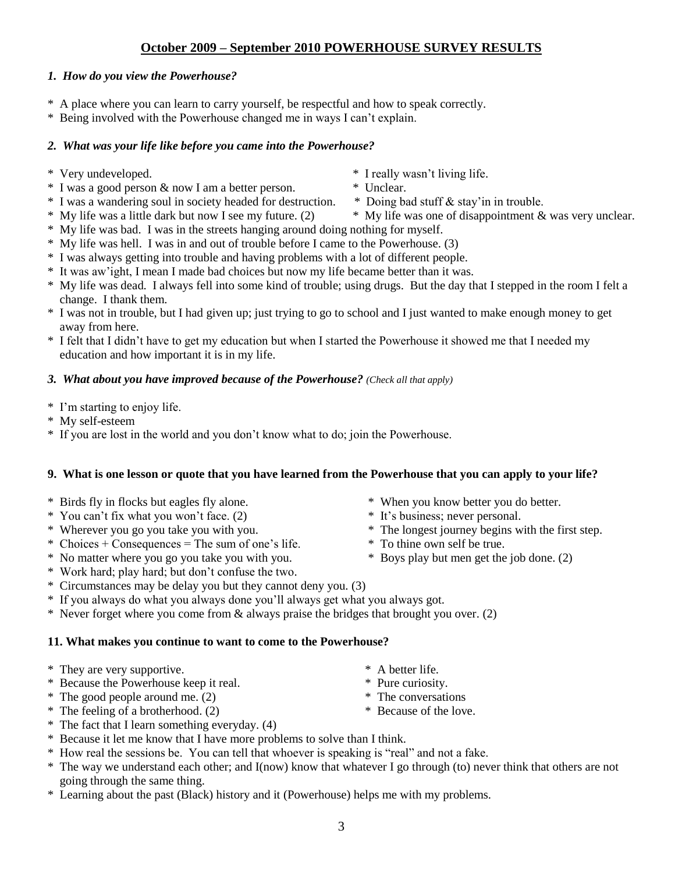# **October 2009 – September 2010 POWERHOUSE SURVEY RESULTS**

## *1. How do you view the Powerhouse?*

- \* A place where you can learn to carry yourself, be respectful and how to speak correctly.
- \* Being involved with the Powerhouse changed me in ways I can't explain.

# *2. What was your life like before you came into the Powerhouse?*

- \* Very undeveloped. \* I really wasn't living life.
- \* I was a good person & now I am a better person. \* Unclear.
- \* I was a wandering soul in society headed for destruction. \* Doing bad stuff & stay'in in trouble.
- 
- \* My life was bad. I was in the streets hanging around doing nothing for myself.
- \* My life was hell. I was in and out of trouble before I came to the Powerhouse. (3)
- \* I was always getting into trouble and having problems with a lot of different people.
- \* It was aw'ight, I mean I made bad choices but now my life became better than it was.
- \* My life was dead. I always fell into some kind of trouble; using drugs. But the day that I stepped in the room I felt a change. I thank them.
- \* I was not in trouble, but I had given up; just trying to go to school and I just wanted to make enough money to get away from here.
- \* I felt that I didn't have to get my education but when I started the Powerhouse it showed me that I needed my education and how important it is in my life.

### *3. What about you have improved because of the Powerhouse? (Check all that apply)*

- \* I'm starting to enjoy life.
- \* My self-esteem
- \* If you are lost in the world and you don't know what to do; join the Powerhouse.

### **9. What is one lesson or quote that you have learned from the Powerhouse that you can apply to your life?**

- \* Birds fly in flocks but eagles fly alone. \* When you know better you do better.
- \* You can't fix what you won't face. (2) \* It's business; never personal.
- 
- \* Choices + Consequences = The sum of one's life. \* To thine own self be true.
- \* No matter where you go you take you with you. \* Boys play but men get the job done. (2)
- \* Work hard; play hard; but don't confuse the two.
- \* Circumstances may be delay you but they cannot deny you. (3)
- \* If you always do what you always done you'll always get what you always got.
- \* Never forget where you come from & always praise the bridges that brought you over. (2)

## **11. What makes you continue to want to come to the Powerhouse?**

- \* They are very supportive. \* A better life.
- \* Because the Powerhouse keep it real. \* Pure curiosity.
- \* The good people around me. (2) \* The conversations
- \* The feeling of a brotherhood. (2) \* Because of the love.
- \* The fact that I learn something everyday. (4)
- \* Because it let me know that I have more problems to solve than I think.
- \* How real the sessions be. You can tell that whoever is speaking is "real" and not a fake.
- \* The way we understand each other; and I(now) know that whatever I go through (to) never think that others are not going through the same thing.
- \* Learning about the past (Black) history and it (Powerhouse) helps me with my problems.
- 
- 
- \* Wherever you go you take you with you. \* The longest journey begins with the first step.
	-
	-
- -
- \* My life was a little dark but now I see my future. (2) \* My life was one of disappointment & was very unclear.